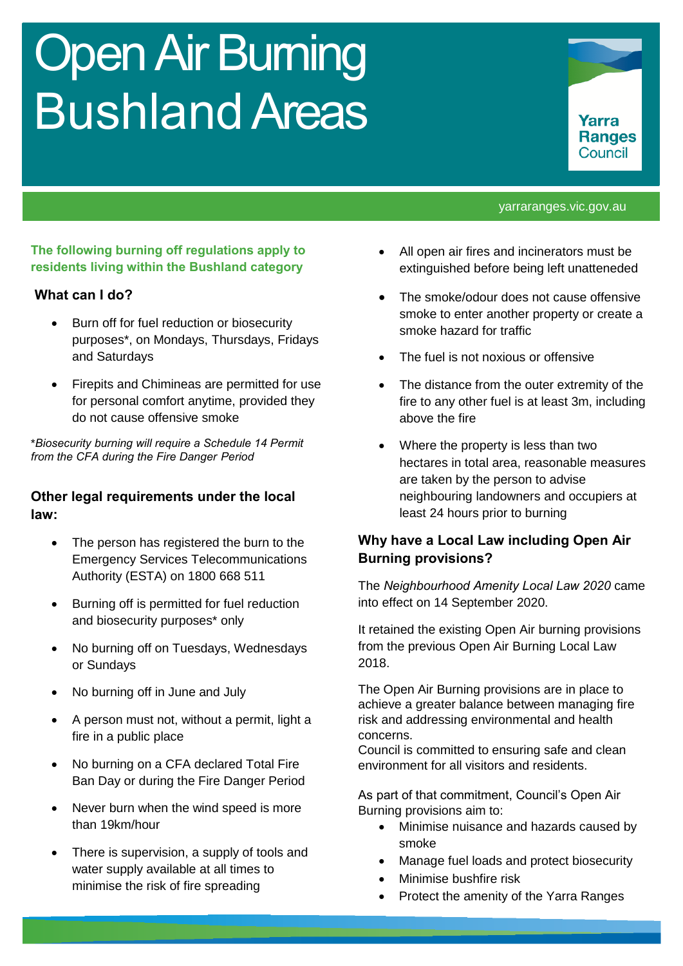# Open Air Burning Bushland Areas



#### yarraranges.vic.gov.au

### **The following burning off regulations apply to residents living within the Bushland category**

### **What can I do?**

- Burn off for fuel reduction or biosecurity purposes\*, on Mondays, Thursdays, Fridays and Saturdays
- Firepits and Chimineas are permitted for use for personal comfort anytime, provided they do not cause offensive smoke

\**Biosecurity burning will require a Schedule 14 Permit from the CFA during the Fire Danger Period*

### **Other legal requirements under the local law:**

- The person has registered the burn to the Emergency Services Telecommunications Authority (ESTA) on 1800 668 511
- Burning off is permitted for fuel reduction and biosecurity purposes\* only
- No burning off on Tuesdays, Wednesdays or Sundays
- No burning off in June and July
- A person must not, without a permit, light a fire in a public place
- No burning on a CFA declared Total Fire Ban Day or during the Fire Danger Period
- Never burn when the wind speed is more than 19km/hour
- There is supervision, a supply of tools and water supply available at all times to minimise the risk of fire spreading
- All open air fires and incinerators must be extinguished before being left unatteneded
- The smoke/odour does not cause offensive smoke to enter another property or create a smoke hazard for traffic
- The fuel is not noxious or offensive
- The distance from the outer extremity of the fire to any other fuel is at least 3m, including above the fire
- Where the property is less than two hectares in total area, reasonable measures are taken by the person to advise neighbouring landowners and occupiers at least 24 hours prior to burning

## **Why have a Local Law including Open Air Burning provisions?**

The *Neighbourhood Amenity Local Law 2020* came into effect on 14 September 2020.

It retained the existing Open Air burning provisions from the previous Open Air Burning Local Law 2018.

The Open Air Burning provisions are in place to achieve a greater balance between managing fire risk and addressing environmental and health concerns.

Council is committed to ensuring safe and clean environment for all visitors and residents.

As part of that commitment, Council's Open Air Burning provisions aim to:

- Minimise nuisance and hazards caused by smoke
- Manage fuel loads and protect biosecurity
- Minimise bushfire risk
- Protect the amenity of the Yarra Ranges